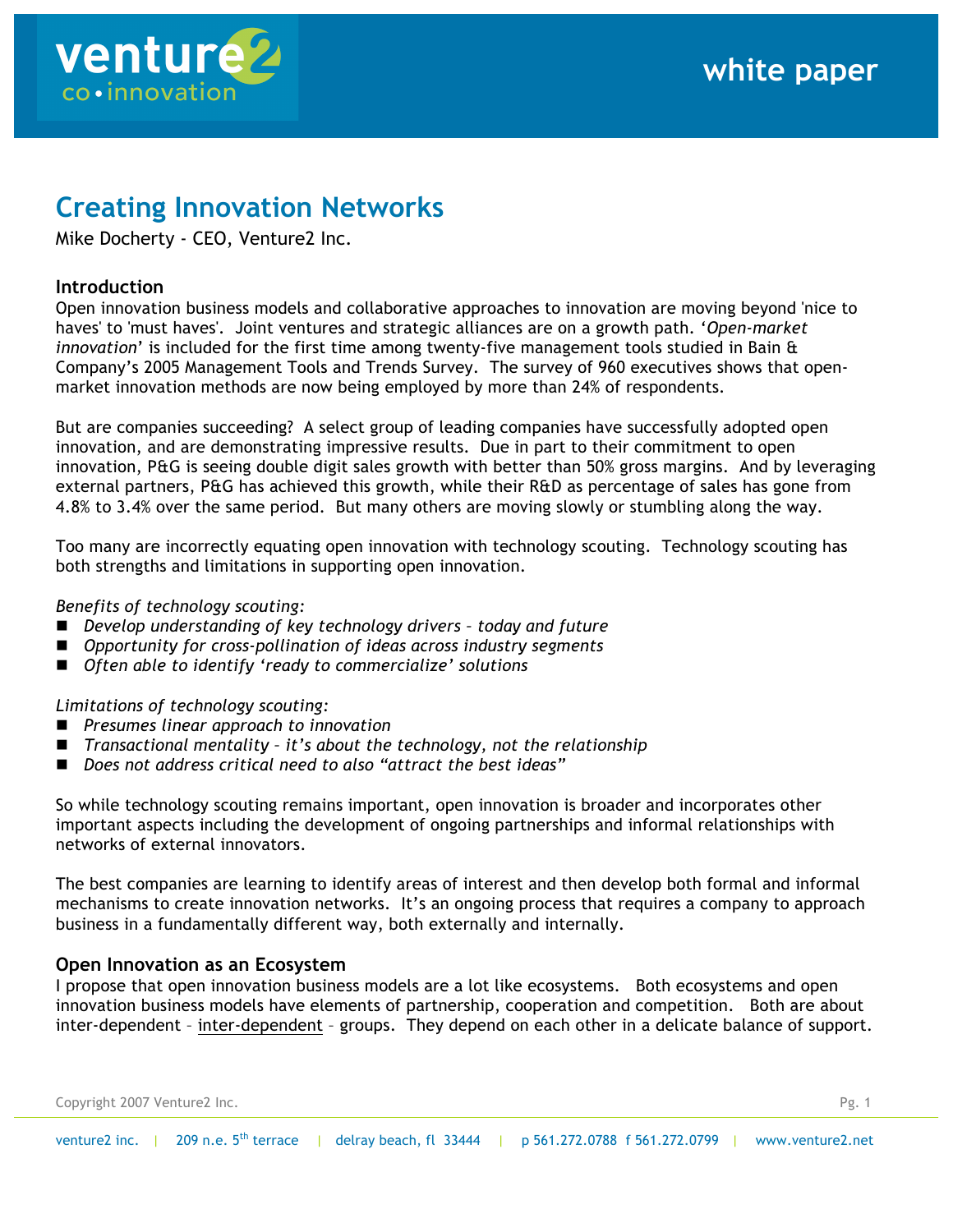

# **Creating Innovation Networks**

Mike Docherty - CEO, Venture2 Inc.

# **Introduction**

Open innovation business models and collaborative approaches to innovation are moving beyond 'nice to haves' to 'must haves'. Joint ventures and strategic alliances are on a growth path. '*Open-market innovation*' is included for the first time among twenty-five management tools studied in Bain & Company's 2005 Management Tools and Trends Survey. The survey of 960 executives shows that openmarket innovation methods are now being employed by more than 24% of respondents.

But are companies succeeding? A select group of leading companies have successfully adopted open innovation, and are demonstrating impressive results. Due in part to their commitment to open innovation, P&G is seeing double digit sales growth with better than 50% gross margins. And by leveraging external partners, P&G has achieved this growth, while their R&D as percentage of sales has gone from 4.8% to 3.4% over the same period. But many others are moving slowly or stumbling along the way.

Too many are incorrectly equating open innovation with technology scouting. Technology scouting has both strengths and limitations in supporting open innovation.

## *Benefits of technology scouting:*

- *Develop understanding of key technology drivers – today and future*
- Opportunity for cross-pollination of ideas across industry segments
- *Often able to identify 'ready to commercialize' solutions*

# *Limitations of technology scouting:*

- *Presumes linear approach to innovation*
- *Transactional mentality – it's about the technology, not the relationship*
- *Does not address critical need to also "attract the best ideas"*

So while technology scouting remains important, open innovation is broader and incorporates other important aspects including the development of ongoing partnerships and informal relationships with networks of external innovators.

The best companies are learning to identify areas of interest and then develop both formal and informal mechanisms to create innovation networks. It's an ongoing process that requires a company to approach business in a fundamentally different way, both externally and internally.

# **Open Innovation as an Ecosystem**

I propose that open innovation business models are a lot like ecosystems. Both ecosystems and open innovation business models have elements of partnership, cooperation and competition. Both are about inter-dependent – inter-dependent – groups. They depend on each other in a delicate balance of support.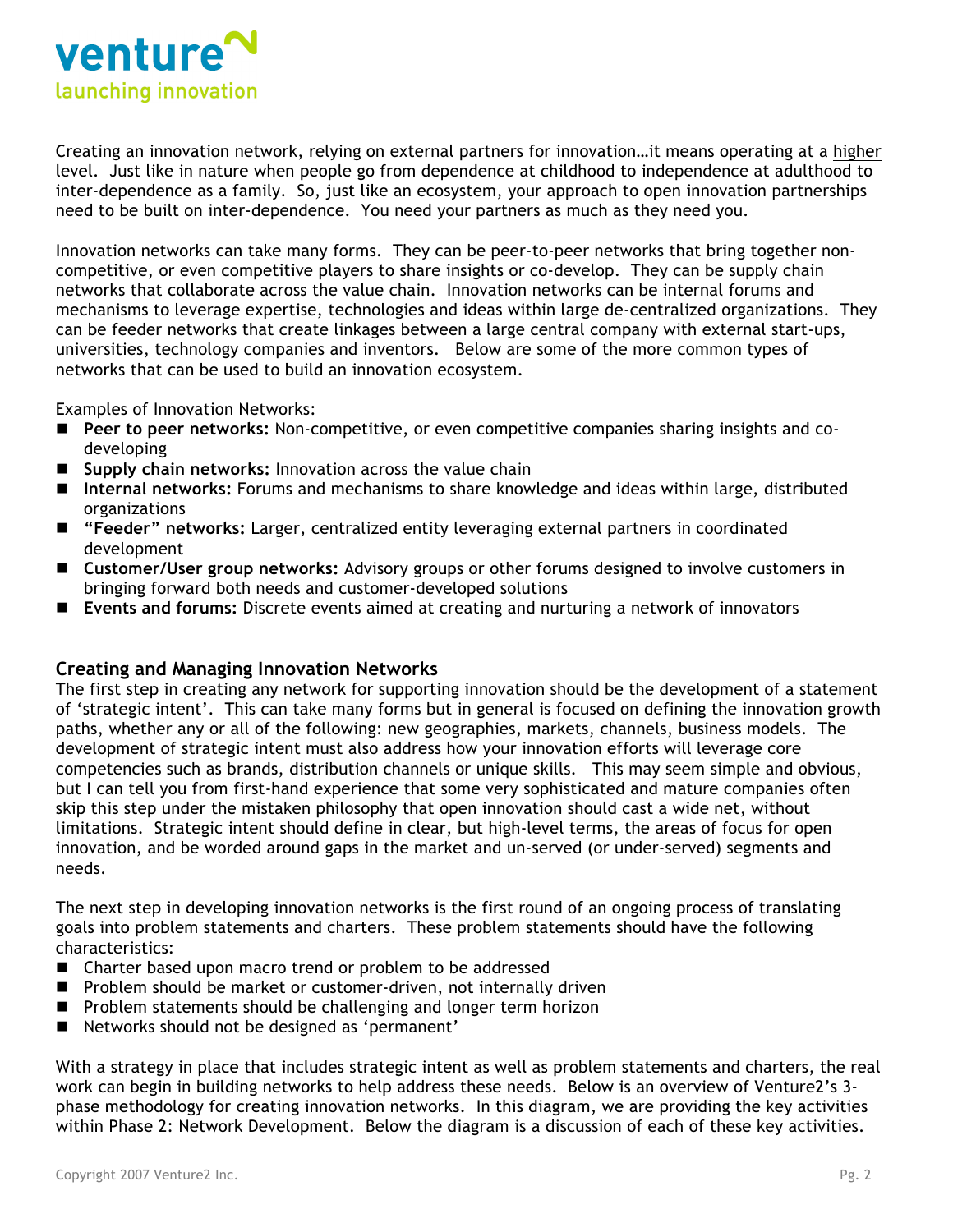

Creating an innovation network, relying on external partners for innovation…it means operating at a higher level. Just like in nature when people go from dependence at childhood to independence at adulthood to inter-dependence as a family. So, just like an ecosystem, your approach to open innovation partnerships need to be built on inter-dependence. You need your partners as much as they need you.

Innovation networks can take many forms. They can be peer-to-peer networks that bring together noncompetitive, or even competitive players to share insights or co-develop. They can be supply chain networks that collaborate across the value chain. Innovation networks can be internal forums and mechanisms to leverage expertise, technologies and ideas within large de-centralized organizations. They can be feeder networks that create linkages between a large central company with external start-ups, universities, technology companies and inventors. Below are some of the more common types of networks that can be used to build an innovation ecosystem.

Examples of Innovation Networks:

- **Peer to peer networks:** Non-competitive, or even competitive companies sharing insights and codeveloping
- **Supply chain networks:** Innovation across the value chain
- **Internal networks:** Forums and mechanisms to share knowledge and ideas within large, distributed organizations
- **"Feeder" networks:** Larger, centralized entity leveraging external partners in coordinated development
- **Customer/User group networks:** Advisory groups or other forums designed to involve customers in bringing forward both needs and customer-developed solutions
- **Events and forums:** Discrete events aimed at creating and nurturing a network of innovators

## **Creating and Managing Innovation Networks**

The first step in creating any network for supporting innovation should be the development of a statement of 'strategic intent'. This can take many forms but in general is focused on defining the innovation growth paths, whether any or all of the following: new geographies, markets, channels, business models. The development of strategic intent must also address how your innovation efforts will leverage core competencies such as brands, distribution channels or unique skills. This may seem simple and obvious, but I can tell you from first-hand experience that some very sophisticated and mature companies often skip this step under the mistaken philosophy that open innovation should cast a wide net, without limitations. Strategic intent should define in clear, but high-level terms, the areas of focus for open innovation, and be worded around gaps in the market and un-served (or under-served) segments and needs.

The next step in developing innovation networks is the first round of an ongoing process of translating goals into problem statements and charters. These problem statements should have the following characteristics:

- Charter based upon macro trend or problem to be addressed
- **Problem should be market or customer-driven, not internally driven**
- **Problem statements should be challenging and longer term horizon**
- Networks should not be designed as 'permanent'

With a strategy in place that includes strategic intent as well as problem statements and charters, the real work can begin in building networks to help address these needs. Below is an overview of Venture2's 3 phase methodology for creating innovation networks. In this diagram, we are providing the key activities within Phase 2: Network Development. Below the diagram is a discussion of each of these key activities.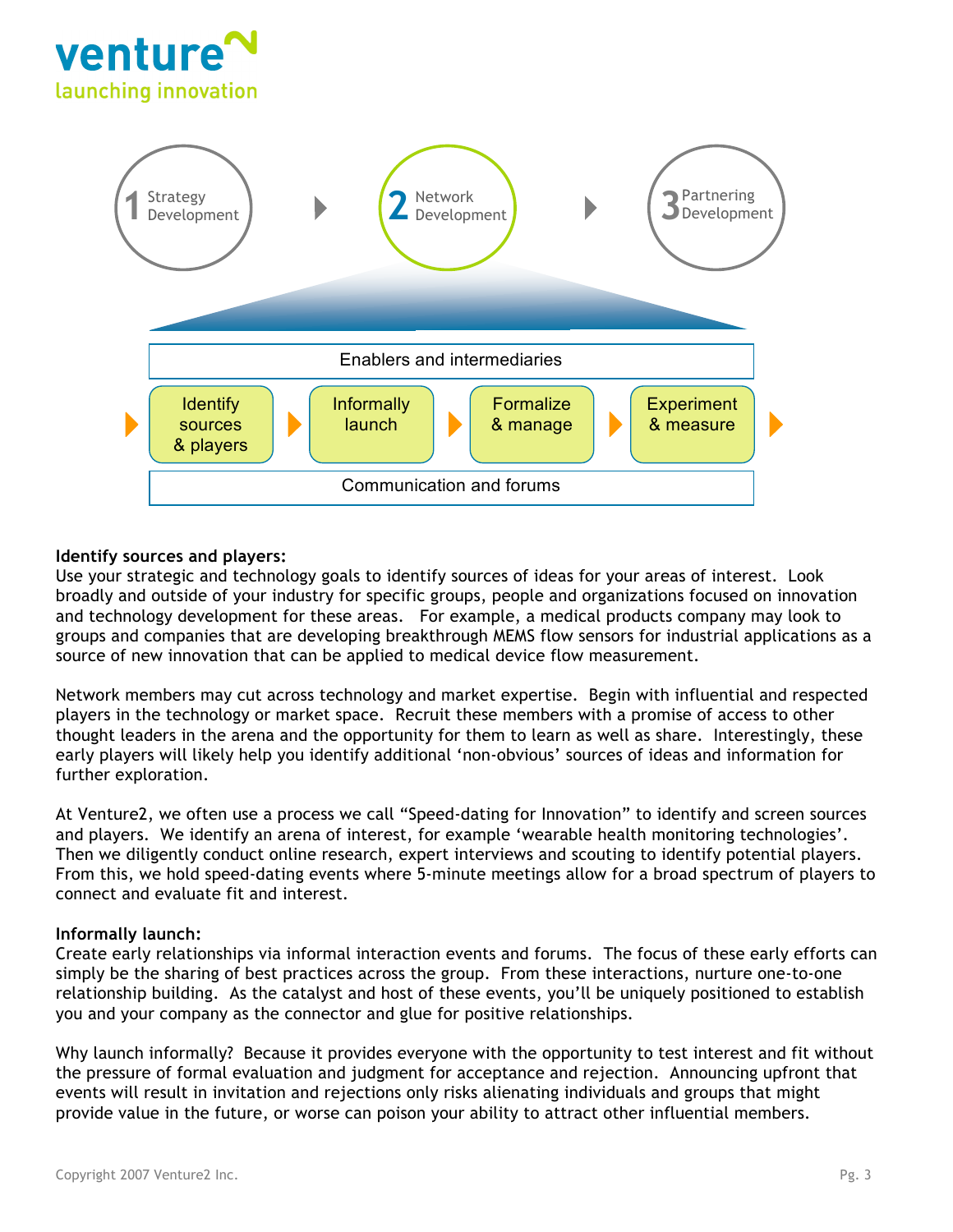



## **Identify sources and players:**

Use your strategic and technology goals to identify sources of ideas for your areas of interest. Look broadly and outside of your industry for specific groups, people and organizations focused on innovation and technology development for these areas. For example, a medical products company may look to groups and companies that are developing breakthrough MEMS flow sensors for industrial applications as a source of new innovation that can be applied to medical device flow measurement.

Network members may cut across technology and market expertise. Begin with influential and respected players in the technology or market space. Recruit these members with a promise of access to other thought leaders in the arena and the opportunity for them to learn as well as share. Interestingly, these early players will likely help you identify additional 'non-obvious' sources of ideas and information for further exploration.

At Venture2, we often use a process we call "Speed-dating for Innovation" to identify and screen sources and players. We identify an arena of interest, for example 'wearable health monitoring technologies'. Then we diligently conduct online research, expert interviews and scouting to identify potential players. From this, we hold speed-dating events where 5-minute meetings allow for a broad spectrum of players to connect and evaluate fit and interest.

## **Informally launch:**

Create early relationships via informal interaction events and forums. The focus of these early efforts can simply be the sharing of best practices across the group. From these interactions, nurture one-to-one relationship building. As the catalyst and host of these events, you'll be uniquely positioned to establish you and your company as the connector and glue for positive relationships.

Why launch informally? Because it provides everyone with the opportunity to test interest and fit without the pressure of formal evaluation and judgment for acceptance and rejection. Announcing upfront that events will result in invitation and rejections only risks alienating individuals and groups that might provide value in the future, or worse can poison your ability to attract other influential members.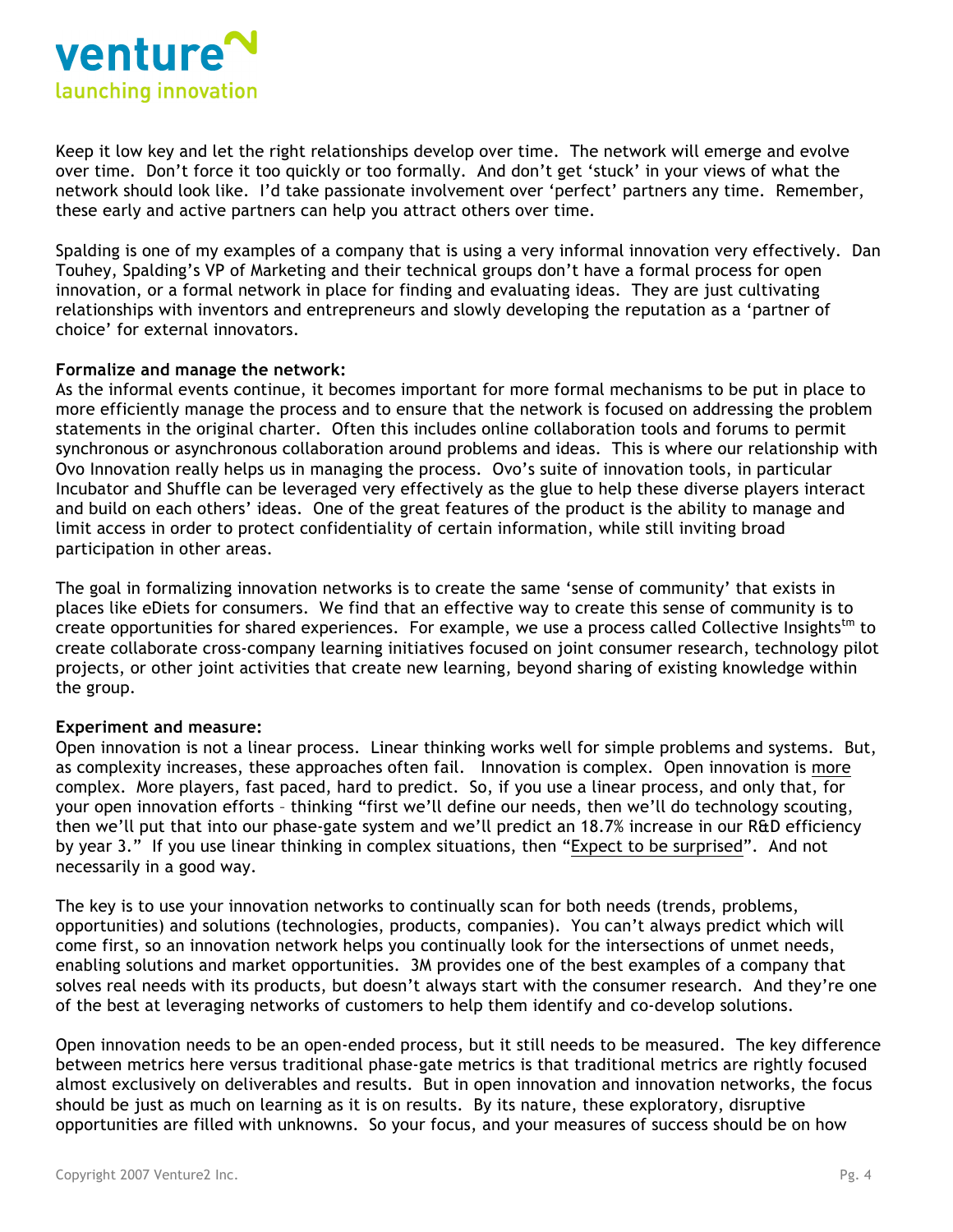

Keep it low key and let the right relationships develop over time. The network will emerge and evolve over time. Don't force it too quickly or too formally. And don't get 'stuck' in your views of what the network should look like. I'd take passionate involvement over 'perfect' partners any time. Remember, these early and active partners can help you attract others over time.

Spalding is one of my examples of a company that is using a very informal innovation very effectively. Dan Touhey, Spalding's VP of Marketing and their technical groups don't have a formal process for open innovation, or a formal network in place for finding and evaluating ideas. They are just cultivating relationships with inventors and entrepreneurs and slowly developing the reputation as a 'partner of choice' for external innovators.

## **Formalize and manage the network:**

As the informal events continue, it becomes important for more formal mechanisms to be put in place to more efficiently manage the process and to ensure that the network is focused on addressing the problem statements in the original charter. Often this includes online collaboration tools and forums to permit synchronous or asynchronous collaboration around problems and ideas. This is where our relationship with Ovo Innovation really helps us in managing the process. Ovo's suite of innovation tools, in particular Incubator and Shuffle can be leveraged very effectively as the glue to help these diverse players interact and build on each others' ideas. One of the great features of the product is the ability to manage and limit access in order to protect confidentiality of certain information, while still inviting broad participation in other areas.

The goal in formalizing innovation networks is to create the same 'sense of community' that exists in places like eDiets for consumers. We find that an effective way to create this sense of community is to create opportunities for shared experiences. For example, we use a process called Collective Insights<sup>tm</sup> to create collaborate cross-company learning initiatives focused on joint consumer research, technology pilot projects, or other joint activities that create new learning, beyond sharing of existing knowledge within the group.

## **Experiment and measure:**

Open innovation is not a linear process. Linear thinking works well for simple problems and systems. But, as complexity increases, these approaches often fail. Innovation is complex. Open innovation is more complex. More players, fast paced, hard to predict. So, if you use a linear process, and only that, for your open innovation efforts – thinking "first we'll define our needs, then we'll do technology scouting, then we'll put that into our phase-gate system and we'll predict an 18.7% increase in our R&D efficiency by year 3." If you use linear thinking in complex situations, then "Expect to be surprised". And not necessarily in a good way.

The key is to use your innovation networks to continually scan for both needs (trends, problems, opportunities) and solutions (technologies, products, companies). You can't always predict which will come first, so an innovation network helps you continually look for the intersections of unmet needs, enabling solutions and market opportunities. 3M provides one of the best examples of a company that solves real needs with its products, but doesn't always start with the consumer research. And they're one of the best at leveraging networks of customers to help them identify and co-develop solutions.

Open innovation needs to be an open-ended process, but it still needs to be measured. The key difference between metrics here versus traditional phase-gate metrics is that traditional metrics are rightly focused almost exclusively on deliverables and results. But in open innovation and innovation networks, the focus should be just as much on learning as it is on results. By its nature, these exploratory, disruptive opportunities are filled with unknowns. So your focus, and your measures of success should be on how